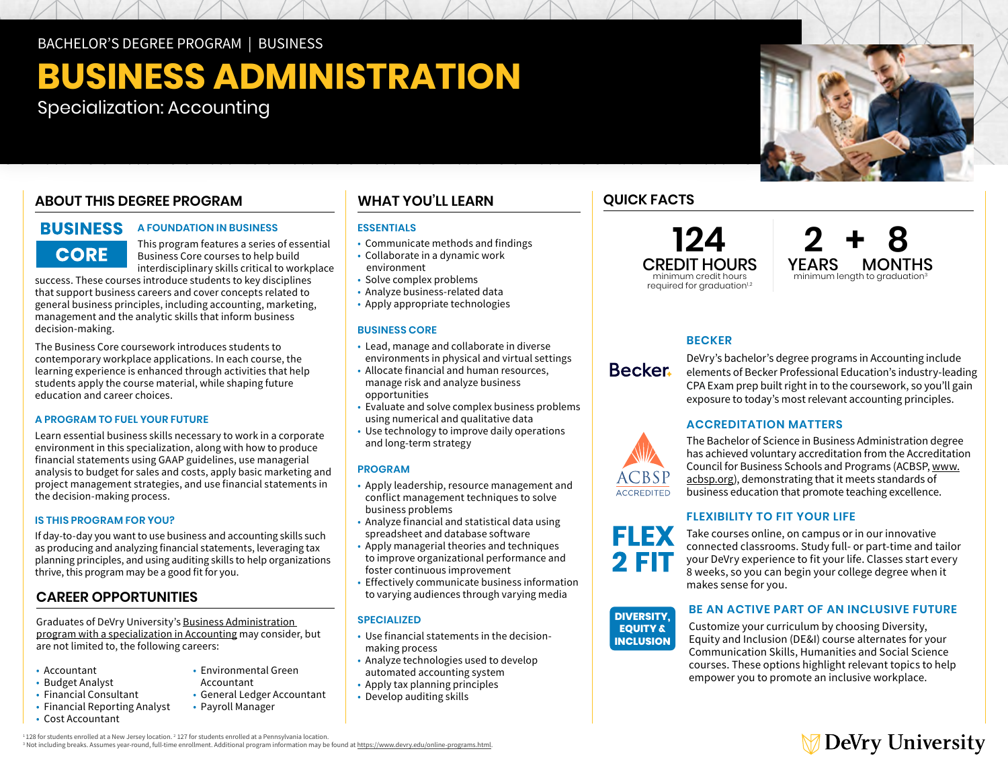BACHELOR'S DEGREE PROGRAM | BUSINESS

## **BUSINESS ADMINISTRATION**

Specialization: Accounting

### **ABOUT THIS DEGREE PROGRAM**

# **core**

### **BUSINESS A FOUNDATION IN BUSINESS**

This program features a series of essential Business Core courses to help build interdisciplinary skills critical to workplace

success. These courses introduce students to key disciplines that support business careers and cover concepts related to general business principles, including accounting, marketing, management and the analytic skills that inform business decision-making.

The Business Core coursework introduces students to contemporary workplace applications. In each course, the learning experience is enhanced through activities that help students apply the course material, while shaping future education and career choices.

### **A PROGRAM TO FUEL YOUR FUTURE**

Learn essential business skills necessary to work in a corporate environment in this specialization, along with how to produce financial statements using GAAP guidelines, use managerial analysis to budget for sales and costs, apply basic marketing and project management strategies, and use financial statements in the decision-making process.

### **IS THIS PROGRAM FOR YOU?**

If day-to-day you want to use business and accounting skills such as producing and analyzing financial statements, leveraging tax planning principles, and using auditing skills to help organizations thrive, this program may be a good fit for you.

### **CAREER OPPORTUNITIES**

Graduates of DeVry University's [Business Administration](https://www.devry.edu/online-programs/bachelors-degrees/business/accounting-specialization.html)  [program with a specialization in Accounting](https://www.devry.edu/online-programs/bachelors-degrees/business/accounting-specialization.html) may consider, but are not limited to, the following careers:

- Accountant
- Budget Analyst
- • Financial Reporting Analyst • Financial Consultant
- Cost Accountant
- Environmental Green
- Accountant
- General Ledger Accountant
	- Payroll Manager
- 

### **WHAT YOU'LL LEARN**

### **ESSENTIALS**

- Communicate methods and findings
- Collaborate in a dynamic work environment
- Solve complex problems
- Analyze business-related data
- Apply appropriate technologies

### **BUSINESS CORE**

- • Lead, manage and collaborate in diverse environments in physical and virtual settings
- • Allocate financial and human resources, manage risk and analyze business opportunities
- • Evaluate and solve complex business problems using numerical and qualitative data
- • Use technology to improve daily operations and long-term strategy

### **PROGRAM**

- • Apply leadership, resource management and conflict management techniques to solve business problems
- • Analyze financial and statistical data using spreadsheet and database software
- • Apply managerial theories and techniques to improve organizational performance and foster continuous improvement
- • Effectively communicate business information to varying audiences through varying media

#### **SPECIALIZED**

- • Use financial statements in the decisionmaking process
- • Analyze technologies used to develop automated accounting system
- Apply tax planning principles
- Develop auditing skills

### **QUICK FACTS**

**124**  CREDIT HOURS minimum credit hours required for graduation<sup>1,2</sup>



### **BECKER**

DeVry's bachelor's degree programs in Accounting include elements of Becker Professional Education's industry-leading CPA Exam prep built right in to the coursework, so you'll gain exposure to today's most relevant accounting principles.

### **ACCREDITATION MATTERS**



**FLEX DIVERSITY, 2 FIT EQUITY &**

**Z FIN** 

**DIVERSITY, EQUITY & INCLUSION**  The Bachelor of Science in Business Administration degree has achieved voluntary accreditation from the Accreditation Council for Business Schools and Programs (ACBSP, [www.](http://www.acbsp.org) [acbsp.org](http://www.acbsp.org)), demonstrating that it meets standards of business education that promote teaching excellence.

### **FLEXIBILITY TO FIT YOUR LIFE**

connected classrooms. Study full- or part-time and tailor<br>your DeVry experience to fit your life. Classes start every **ELICE LO** 8 weeks, so you can begin your college degree when it<br>' Take courses online, on campus or in our innovative connected classrooms. Study full- or part-time and tailor makes sense for you.

**BE AN ACTIVE PART OF AN INCLUSIVE FUTURE** 

Customize your curriculum by choosing Diversity, Equity and Inclusion (DE&I) course alternates for your Communication Skills, Humanities and Social Science courses. These options highlight relevant topics to help empower you to promote an inclusive workplace.



 $^{11}$ 128 for students enrolled at a New Jersey location.  $^{2}$  127 for students enrolled at a Pennsylvania location.<br>3 Net including broaks, Assumes voar round, full-time enrollment, Additional program information may be <sup>3</sup> Not including breaks. Assumes year-round, full-time enrollment. Additional program information may be found at https://www.devry.edu/online-programs.html